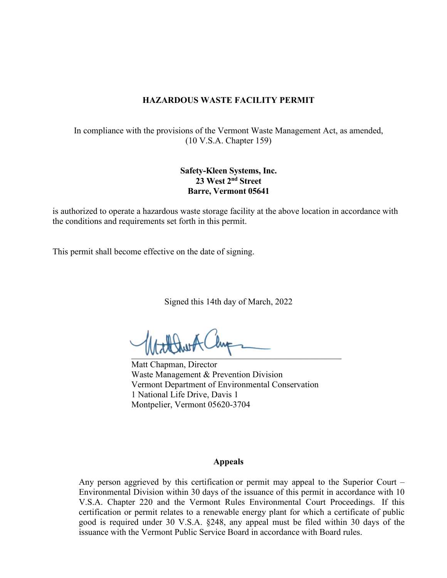#### **HAZARDOUS WASTE FACILITY PERMIT**

In compliance with the provisions of the Vermont Waste Management Act, as amended, (10 V.S.A. Chapter 159)

#### **Safety-Kleen Systems, Inc. 23 West 2nd Street Barre, Vermont 05641**

is authorized to operate a hazardous waste storage facility at the above location in accordance with the conditions and requirements set forth in this permit.

This permit shall become effective on the date of signing.

Signed this 14th day of March, 2022

 $M_{\rm V}$ 

Matt Chapman, Director Waste Management & Prevention Division Vermont Department of Environmental Conservation 1 National Life Drive, Davis 1 Montpelier, Vermont 05620-3704

#### **Appeals**

Any person aggrieved by this certification or permit may appeal to the Superior Court – Environmental Division within 30 days of the issuance of this permit in accordance with 10 V.S.A. Chapter 220 and the Vermont Rules Environmental Court Proceedings. If this certification or permit relates to a renewable energy plant for which a certificate of public good is required under 30 V.S.A. §248, any appeal must be filed within 30 days of the issuance with the Vermont Public Service Board in accordance with Board rules.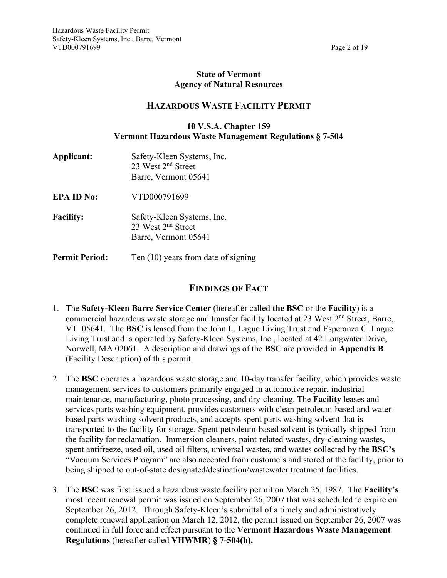#### **State of Vermont Agency of Natural Resources**

#### **HAZARDOUS WASTE FACILITY PERMIT**

#### **10 V.S.A. Chapter 159 Vermont Hazardous Waste Management Regulations § 7-504**

- **Applicant:** Safety-Kleen Systems, Inc. 23 West 2<sup>nd</sup> Street Barre, Vermont 05641
- **EPA ID No:** VTD000791699
- Facility: Safety-Kleen Systems, Inc. 23 West 2nd Street Barre, Vermont 05641
- **Permit Period:** Ten (10) years from date of signing

#### **FINDINGS OF FACT**

- 1. The **Safety-Kleen Barre Service Center** (hereafter called **the BSC** or the **Facility**) is a commercial hazardous waste storage and transfer facility located at 23 West  $2<sup>nd</sup>$  Street, Barre, VT 05641. The **BSC** is leased from the John L. Lague Living Trust and Esperanza C. Lague Living Trust and is operated by Safety-Kleen Systems, Inc., located at 42 Longwater Drive, Norwell, MA 02061. A description and drawings of the **BSC** are provided in **Appendix B** (Facility Description) of this permit.
- 2. The **BSC** operates a hazardous waste storage and 10-day transfer facility, which provides waste management services to customers primarily engaged in automotive repair, industrial maintenance, manufacturing, photo processing, and dry-cleaning. The **Facility** leases and services parts washing equipment, provides customers with clean petroleum-based and waterbased parts washing solvent products, and accepts spent parts washing solvent that is transported to the facility for storage. Spent petroleum-based solvent is typically shipped from the facility for reclamation. Immersion cleaners, paint-related wastes, dry-cleaning wastes, spent antifreeze, used oil, used oil filters, universal wastes, and wastes collected by the **BSC's** "Vacuum Services Program" are also accepted from customers and stored at the facility, prior to being shipped to out-of-state designated/destination/wastewater treatment facilities.
- 3. The **BSC** was first issued a hazardous waste facility permit on March 25, 1987. The **Facility's** most recent renewal permit was issued on September 26, 2007 that was scheduled to expire on September 26, 2012. Through Safety-Kleen's submittal of a timely and administratively complete renewal application on March 12, 2012, the permit issued on September 26, 2007 was continued in full force and effect pursuant to the **Vermont Hazardous Waste Management Regulations** (hereafter called **VHWMR**) **§ 7-504(h).**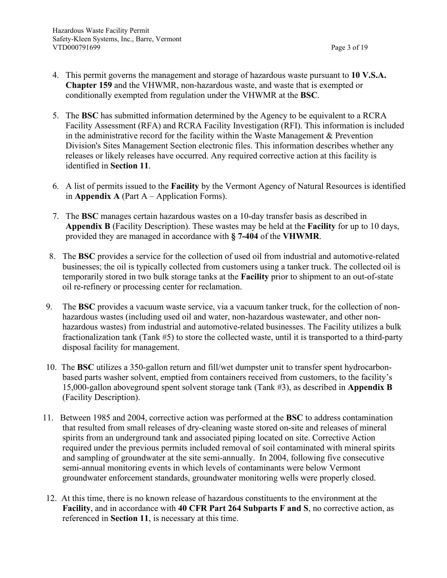- 4. This permit governs the management and storage of hazardous waste pursuant to **10 V.S.A. Chapter 159** and the VHWMR, non-hazardous waste, and waste that is exempted or conditionally exempted from regulation under the VHWMR at the **BSC**.
- 5. The **BSC** has submitted information determined by the Agency to be equivalent to a RCRA Facility Assessment (RFA) and RCRA Facility Investigation (RFI). This information is included in the administrative record for the facility within the Waste Management  $&$  Prevention Division's Sites Management Section electronic files. This information describes whether any releases or likely releases have occurred. Any required corrective action at this facility is identified in **Section 11**.
- 6. A list of permits issued to the **Facility** by the Vermont Agency of Natural Resources is identified in **Appendix A** (Part  $A - Application Forms$ ).
- 7. The **BSC** manages certain hazardous wastes on a 10-day transfer basis as described in **Appendix B** (Facility Description). These wastes may be held at the **Facility** for up to 10 days, provided they are managed in accordance with **§ 7-404** of the **VHWMR**.
- 8. The **BSC** provides a service for the collection of used oil from industrial and automotive-related businesses; the oil is typically collected from customers using a tanker truck. The collected oil is temporarily stored in two bulk storage tanks at the **Facility** prior to shipment to an out-of-state oil re-refinery or processing center for reclamation.
- 9. The **BSC** provides a vacuum waste service, via a vacuum tanker truck, for the collection of nonhazardous wastes (including used oil and water, non-hazardous wastewater, and other nonhazardous wastes) from industrial and automotive-related businesses. The Facility utilizes a bulk fractionalization tank (Tank #5) to store the collected waste, until it is transported to a third-party disposal facility for management.
- 10. The **BSC** utilizes a 350-gallon return and fill/wet dumpster unit to transfer spent hydrocarbonbased parts washer solvent, emptied from containers received from customers, to the facility's 15,000-gallon aboveground spent solvent storage tank (Tank #3), as described in **Appendix B** (Facility Description).
- 11. Between 1985 and 2004, corrective action was performed at the **BSC** to address contamination that resulted from small releases of dry-cleaning waste stored on-site and releases of mineral spirits from an underground tank and associated piping located on site. Corrective Action required under the previous permits included removal of soil contaminated with mineral spirits and sampling of groundwater at the site semi-annually. In 2004, following five consecutive semi-annual monitoring events in which levels of contaminants were below Vermont groundwater enforcement standards, groundwater monitoring wells were properly closed.
- 12. At this time, there is no known release of hazardous constituents to the environment at the **Facility**, and in accordance with **40 CFR Part 264 Subparts F and S**, no corrective action, as referenced in **Section 11**, is necessary at this time.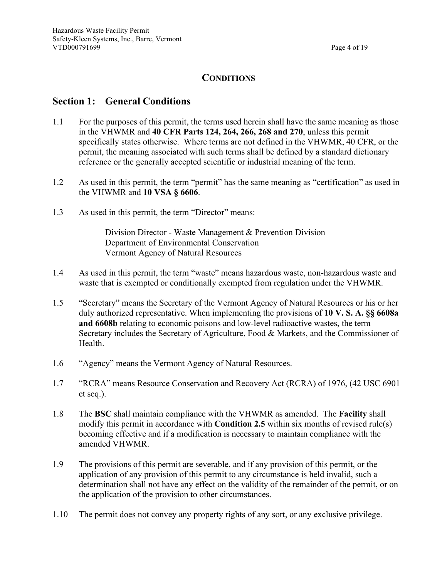## **CONDITIONS**

#### **Section 1: General Conditions**

- 1.1 For the purposes of this permit, the terms used herein shall have the same meaning as those in the VHWMR and **40 CFR Parts 124, 264, 266, 268 and 270**, unless this permit specifically states otherwise. Where terms are not defined in the VHWMR, 40 CFR, or the permit, the meaning associated with such terms shall be defined by a standard dictionary reference or the generally accepted scientific or industrial meaning of the term.
- 1.2 As used in this permit, the term "permit" has the same meaning as "certification" as used in the VHWMR and **10 VSA § 6606**.
- 1.3 As used in this permit, the term "Director" means:

Division Director - Waste Management & Prevention Division Department of Environmental Conservation Vermont Agency of Natural Resources

- 1.4 As used in this permit, the term "waste" means hazardous waste, non-hazardous waste and waste that is exempted or conditionally exempted from regulation under the VHWMR.
- 1.5 "Secretary" means the Secretary of the Vermont Agency of Natural Resources or his or her duly authorized representative. When implementing the provisions of **10 V. S. A. §§ 6608a and 6608b** relating to economic poisons and low-level radioactive wastes, the term Secretary includes the Secretary of Agriculture, Food & Markets, and the Commissioner of Health.
- 1.6 "Agency" means the Vermont Agency of Natural Resources.
- 1.7 "RCRA" means Resource Conservation and Recovery Act (RCRA) of 1976, (42 USC 6901 et seq.).
- 1.8 The **BSC** shall maintain compliance with the VHWMR as amended. The **Facility** shall modify this permit in accordance with **Condition 2.5** within six months of revised rule(s) becoming effective and if a modification is necessary to maintain compliance with the amended VHWMR.
- 1.9 The provisions of this permit are severable, and if any provision of this permit, or the application of any provision of this permit to any circumstance is held invalid, such a determination shall not have any effect on the validity of the remainder of the permit, or on the application of the provision to other circumstances.
- 1.10 The permit does not convey any property rights of any sort, or any exclusive privilege.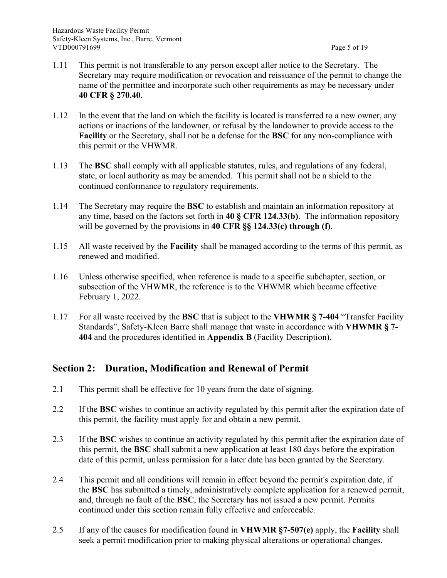- 1.11 This permit is not transferable to any person except after notice to the Secretary. The Secretary may require modification or revocation and reissuance of the permit to change the name of the permittee and incorporate such other requirements as may be necessary under **40 CFR § 270.40**.
- 1.12 In the event that the land on which the facility is located is transferred to a new owner, any actions or inactions of the landowner, or refusal by the landowner to provide access to the **Facility** or the Secretary, shall not be a defense for the **BSC** for any non-compliance with this permit or the VHWMR.
- 1.13 The **BSC** shall comply with all applicable statutes, rules, and regulations of any federal, state, or local authority as may be amended. This permit shall not be a shield to the continued conformance to regulatory requirements.
- 1.14 The Secretary may require the **BSC** to establish and maintain an information repository at any time, based on the factors set forth in **40 § CFR 124.33(b)**. The information repository will be governed by the provisions in **40 CFR §§ 124.33(c) through (f)**.
- 1.15 All waste received by the **Facility** shall be managed according to the terms of this permit, as renewed and modified.
- 1.16 Unless otherwise specified, when reference is made to a specific subchapter, section, or subsection of the VHWMR, the reference is to the VHWMR which became effective February 1, 2022.
- 1.17 For all waste received by the **BSC** that is subject to the **VHWMR § 7-404** "Transfer Facility Standards", Safety-Kleen Barre shall manage that waste in accordance with **VHWMR § 7- 404** and the procedures identified in **Appendix B** (Facility Description).

# **Section 2: Duration, Modification and Renewal of Permit**

- 2.1 This permit shall be effective for 10 years from the date of signing.
- 2.2 If the **BSC** wishes to continue an activity regulated by this permit after the expiration date of this permit, the facility must apply for and obtain a new permit.
- 2.3 If the **BSC** wishes to continue an activity regulated by this permit after the expiration date of this permit, the **BSC** shall submit a new application at least 180 days before the expiration date of this permit, unless permission for a later date has been granted by the Secretary.
- 2.4 This permit and all conditions will remain in effect beyond the permit's expiration date, if the **BSC** has submitted a timely, administratively complete application for a renewed permit, and, through no fault of the **BSC**, the Secretary has not issued a new permit. Permits continued under this section remain fully effective and enforceable.
- 2.5 If any of the causes for modification found in **VHWMR §7-507(e)** apply, the **Facility** shall seek a permit modification prior to making physical alterations or operational changes.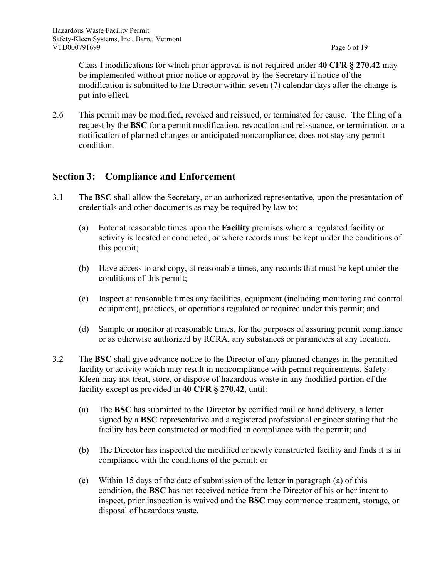Class I modifications for which prior approval is not required under **40 CFR § 270.42** may be implemented without prior notice or approval by the Secretary if notice of the modification is submitted to the Director within seven (7) calendar days after the change is put into effect.

2.6 This permit may be modified, revoked and reissued, or terminated for cause. The filing of a request by the **BSC** for a permit modification, revocation and reissuance, or termination, or a notification of planned changes or anticipated noncompliance, does not stay any permit condition.

#### **Section 3: Compliance and Enforcement**

- 3.1 The **BSC** shall allow the Secretary, or an authorized representative, upon the presentation of credentials and other documents as may be required by law to:
	- (a) Enter at reasonable times upon the **Facility** premises where a regulated facility or activity is located or conducted, or where records must be kept under the conditions of this permit;
	- (b) Have access to and copy, at reasonable times, any records that must be kept under the conditions of this permit;
	- (c) Inspect at reasonable times any facilities, equipment (including monitoring and control equipment), practices, or operations regulated or required under this permit; and
	- (d) Sample or monitor at reasonable times, for the purposes of assuring permit compliance or as otherwise authorized by RCRA, any substances or parameters at any location.
- 3.2 The **BSC** shall give advance notice to the Director of any planned changes in the permitted facility or activity which may result in noncompliance with permit requirements. Safety-Kleen may not treat, store, or dispose of hazardous waste in any modified portion of the facility except as provided in **40 CFR § 270.42**, until:
	- (a) The **BSC** has submitted to the Director by certified mail or hand delivery, a letter signed by a **BSC** representative and a registered professional engineer stating that the facility has been constructed or modified in compliance with the permit; and
	- (b) The Director has inspected the modified or newly constructed facility and finds it is in compliance with the conditions of the permit; or
	- (c) Within 15 days of the date of submission of the letter in paragraph (a) of this condition, the **BSC** has not received notice from the Director of his or her intent to inspect, prior inspection is waived and the **BSC** may commence treatment, storage, or disposal of hazardous waste.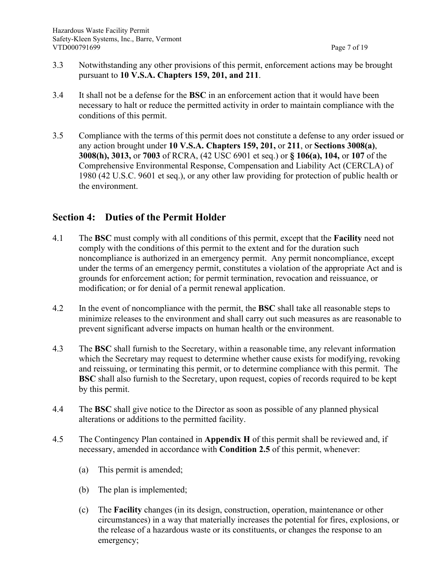- 3.3 Notwithstanding any other provisions of this permit, enforcement actions may be brought pursuant to **10 V.S.A. Chapters 159, 201, and 211**.
- 3.4 It shall not be a defense for the **BSC** in an enforcement action that it would have been necessary to halt or reduce the permitted activity in order to maintain compliance with the conditions of this permit.
- 3.5 Compliance with the terms of this permit does not constitute a defense to any order issued or any action brought under **10 V.S.A. Chapters 159, 201,** or **211**, or **Sections 3008(a)**, **3008(h), 3013,** or **7003** of RCRA, (42 USC 6901 et seq.) or **§ 106(a), 104,** or **107** of the Comprehensive Environmental Response, Compensation and Liability Act (CERCLA) of 1980 (42 U.S.C. 9601 et seq.), or any other law providing for protection of public health or the environment.

# **Section 4: Duties of the Permit Holder**

- 4.1 The **BSC** must comply with all conditions of this permit, except that the **Facility** need not comply with the conditions of this permit to the extent and for the duration such noncompliance is authorized in an emergency permit. Any permit noncompliance, except under the terms of an emergency permit, constitutes a violation of the appropriate Act and is grounds for enforcement action; for permit termination, revocation and reissuance, or modification; or for denial of a permit renewal application.
- 4.2 In the event of noncompliance with the permit, the **BSC** shall take all reasonable steps to minimize releases to the environment and shall carry out such measures as are reasonable to prevent significant adverse impacts on human health or the environment.
- 4.3 The **BSC** shall furnish to the Secretary, within a reasonable time, any relevant information which the Secretary may request to determine whether cause exists for modifying, revoking and reissuing, or terminating this permit, or to determine compliance with this permit. The **BSC** shall also furnish to the Secretary, upon request, copies of records required to be kept by this permit.
- 4.4 The **BSC** shall give notice to the Director as soon as possible of any planned physical alterations or additions to the permitted facility.
- 4.5 The Contingency Plan contained in **Appendix H** of this permit shall be reviewed and, if necessary, amended in accordance with **Condition 2.5** of this permit, whenever:
	- (a) This permit is amended;
	- (b) The plan is implemented;
	- (c) The **Facility** changes (in its design, construction, operation, maintenance or other circumstances) in a way that materially increases the potential for fires, explosions, or the release of a hazardous waste or its constituents, or changes the response to an emergency;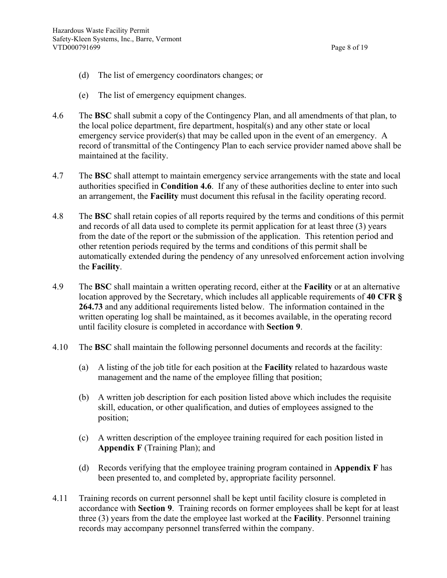- (d) The list of emergency coordinators changes; or
- (e) The list of emergency equipment changes.
- 4.6 The **BSC** shall submit a copy of the Contingency Plan, and all amendments of that plan, to the local police department, fire department, hospital(s) and any other state or local emergency service provider(s) that may be called upon in the event of an emergency. A record of transmittal of the Contingency Plan to each service provider named above shall be maintained at the facility.
- 4.7 The **BSC** shall attempt to maintain emergency service arrangements with the state and local authorities specified in **Condition 4.6**. If any of these authorities decline to enter into such an arrangement, the **Facility** must document this refusal in the facility operating record.
- 4.8 The **BSC** shall retain copies of all reports required by the terms and conditions of this permit and records of all data used to complete its permit application for at least three (3) years from the date of the report or the submission of the application. This retention period and other retention periods required by the terms and conditions of this permit shall be automatically extended during the pendency of any unresolved enforcement action involving the **Facility**.
- 4.9 The **BSC** shall maintain a written operating record, either at the **Facility** or at an alternative location approved by the Secretary, which includes all applicable requirements of **40 CFR § 264.73** and any additional requirements listed below. The information contained in the written operating log shall be maintained, as it becomes available, in the operating record until facility closure is completed in accordance with **Section 9**.
- 4.10 The **BSC** shall maintain the following personnel documents and records at the facility:
	- (a) A listing of the job title for each position at the **Facility** related to hazardous waste management and the name of the employee filling that position;
	- (b) A written job description for each position listed above which includes the requisite skill, education, or other qualification, and duties of employees assigned to the position;
	- (c) A written description of the employee training required for each position listed in **Appendix F** (Training Plan); and
	- (d) Records verifying that the employee training program contained in **Appendix F** has been presented to, and completed by, appropriate facility personnel.
- 4.11 Training records on current personnel shall be kept until facility closure is completed in accordance with **Section 9**. Training records on former employees shall be kept for at least three (3) years from the date the employee last worked at the **Facility**. Personnel training records may accompany personnel transferred within the company.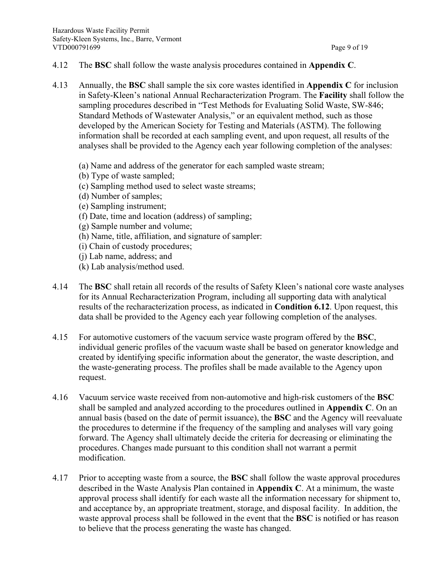- 4.12 The **BSC** shall follow the waste analysis procedures contained in **Appendix C**.
- 4.13 Annually, the **BSC** shall sample the six core wastes identified in **Appendix C** for inclusion in Safety-Kleen's national Annual Recharacterization Program. The **Facility** shall follow the sampling procedures described in "Test Methods for Evaluating Solid Waste, SW-846; Standard Methods of Wastewater Analysis," or an equivalent method, such as those developed by the American Society for Testing and Materials (ASTM). The following information shall be recorded at each sampling event, and upon request, all results of the analyses shall be provided to the Agency each year following completion of the analyses:
	- (a) Name and address of the generator for each sampled waste stream;
	- (b) Type of waste sampled;
	- (c) Sampling method used to select waste streams;
	- (d) Number of samples;
	- (e) Sampling instrument;
	- (f) Date, time and location (address) of sampling;
	- (g) Sample number and volume;
	- (h) Name, title, affiliation, and signature of sampler:
	- (i) Chain of custody procedures;
	- (j) Lab name, address; and
	- (k) Lab analysis/method used.
- 4.14 The **BSC** shall retain all records of the results of Safety Kleen's national core waste analyses for its Annual Recharacterization Program, including all supporting data with analytical results of the recharacterization process, as indicated in **Condition 6.12**. Upon request, this data shall be provided to the Agency each year following completion of the analyses.
- 4.15 For automotive customers of the vacuum service waste program offered by the **BSC**, individual generic profiles of the vacuum waste shall be based on generator knowledge and created by identifying specific information about the generator, the waste description, and the waste-generating process. The profiles shall be made available to the Agency upon request.
- 4.16 Vacuum service waste received from non-automotive and high-risk customers of the **BSC** shall be sampled and analyzed according to the procedures outlined in **Appendix C**. On an annual basis (based on the date of permit issuance), the **BSC** and the Agency will reevaluate the procedures to determine if the frequency of the sampling and analyses will vary going forward. The Agency shall ultimately decide the criteria for decreasing or eliminating the procedures. Changes made pursuant to this condition shall not warrant a permit modification.
- 4.17 Prior to accepting waste from a source, the **BSC** shall follow the waste approval procedures described in the Waste Analysis Plan contained in **Appendix C**. At a minimum, the waste approval process shall identify for each waste all the information necessary for shipment to, and acceptance by, an appropriate treatment, storage, and disposal facility. In addition, the waste approval process shall be followed in the event that the **BSC** is notified or has reason to believe that the process generating the waste has changed.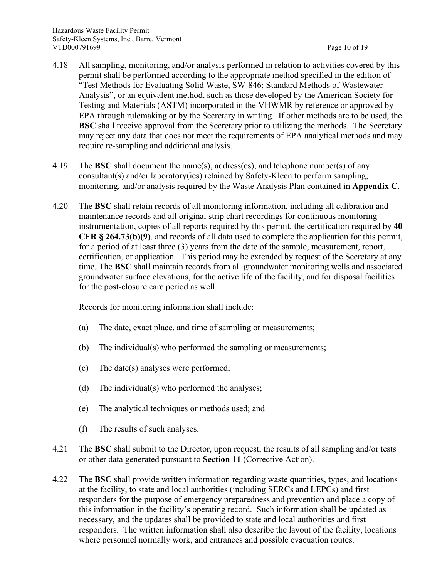- 4.18 All sampling, monitoring, and/or analysis performed in relation to activities covered by this permit shall be performed according to the appropriate method specified in the edition of "Test Methods for Evaluating Solid Waste, SW-846; Standard Methods of Wastewater Analysis", or an equivalent method, such as those developed by the American Society for Testing and Materials (ASTM) incorporated in the VHWMR by reference or approved by EPA through rulemaking or by the Secretary in writing. If other methods are to be used, the **BSC** shall receive approval from the Secretary prior to utilizing the methods. The Secretary may reject any data that does not meet the requirements of EPA analytical methods and may require re-sampling and additional analysis.
- 4.19 The **BSC** shall document the name(s), address(es), and telephone number(s) of any consultant(s) and/or laboratory(ies) retained by Safety-Kleen to perform sampling, monitoring, and/or analysis required by the Waste Analysis Plan contained in **Appendix C**.
- 4.20 The **BSC** shall retain records of all monitoring information, including all calibration and maintenance records and all original strip chart recordings for continuous monitoring instrumentation, copies of all reports required by this permit, the certification required by **40 CFR § 264.73(b)(9)**, and records of all data used to complete the application for this permit, for a period of at least three (3) years from the date of the sample, measurement, report, certification, or application. This period may be extended by request of the Secretary at any time. The **BSC** shall maintain records from all groundwater monitoring wells and associated groundwater surface elevations, for the active life of the facility, and for disposal facilities for the post-closure care period as well.

Records for monitoring information shall include:

- (a) The date, exact place, and time of sampling or measurements;
- (b) The individual(s) who performed the sampling or measurements;
- (c) The date(s) analyses were performed;
- (d) The individual(s) who performed the analyses;
- (e) The analytical techniques or methods used; and
- (f) The results of such analyses.
- 4.21 The **BSC** shall submit to the Director, upon request, the results of all sampling and/or tests or other data generated pursuant to **Section 11** (Corrective Action).
- 4.22 The **BSC** shall provide written information regarding waste quantities, types, and locations at the facility, to state and local authorities (including SERCs and LEPCs) and first responders for the purpose of emergency preparedness and prevention and place a copy of this information in the facility's operating record. Such information shall be updated as necessary, and the updates shall be provided to state and local authorities and first responders. The written information shall also describe the layout of the facility, locations where personnel normally work, and entrances and possible evacuation routes.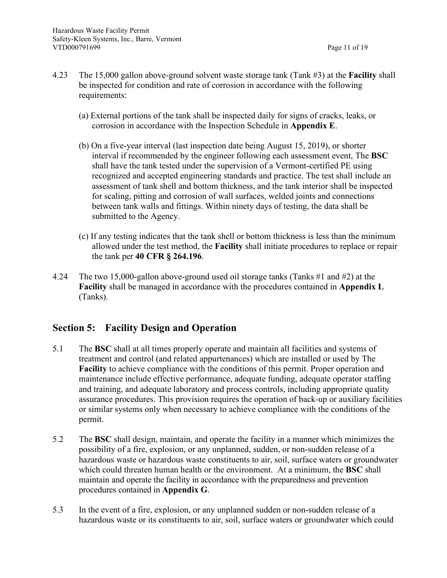- 4.23 The 15,000 gallon above-ground solvent waste storage tank (Tank #3) at the **Facility** shall be inspected for condition and rate of corrosion in accordance with the following requirements:
	- (a) External portions of the tank shall be inspected daily for signs of cracks, leaks, or corrosion in accordance with the Inspection Schedule in **Appendix E**.
	- (b) On a five-year interval (last inspection date being August 15, 2019), or shorter interval if recommended by the engineer following each assessment event, The **BSC** shall have the tank tested under the supervision of a Vermont-certified PE using recognized and accepted engineering standards and practice. The test shall include an assessment of tank shell and bottom thickness, and the tank interior shall be inspected for scaling, pitting and corrosion of wall surfaces, welded joints and connections between tank walls and fittings. Within ninety days of testing, the data shall be submitted to the Agency.
	- (c) If any testing indicates that the tank shell or bottom thickness is less than the minimum allowed under the test method, the **Facility** shall initiate procedures to replace or repair the tank per **40 CFR § 264.196**.
- 4.24 The two 15,000-gallon above-ground used oil storage tanks (Tanks #1 and #2) at the **Facility** shall be managed in accordance with the procedures contained in **Appendix L** (Tanks).

#### **Section 5: Facility Design and Operation**

- 5.1 The **BSC** shall at all times properly operate and maintain all facilities and systems of treatment and control (and related appurtenances) which are installed or used by The **Facility** to achieve compliance with the conditions of this permit. Proper operation and maintenance include effective performance, adequate funding, adequate operator staffing and training, and adequate laboratory and process controls, including appropriate quality assurance procedures. This provision requires the operation of back-up or auxiliary facilities or similar systems only when necessary to achieve compliance with the conditions of the permit.
- 5.2 The **BSC** shall design, maintain, and operate the facility in a manner which minimizes the possibility of a fire, explosion, or any unplanned, sudden, or non-sudden release of a hazardous waste or hazardous waste constituents to air, soil, surface waters or groundwater which could threaten human health or the environment. At a minimum, the **BSC** shall maintain and operate the facility in accordance with the preparedness and prevention procedures contained in **Appendix G**.
- 5.3 In the event of a fire, explosion, or any unplanned sudden or non-sudden release of a hazardous waste or its constituents to air, soil, surface waters or groundwater which could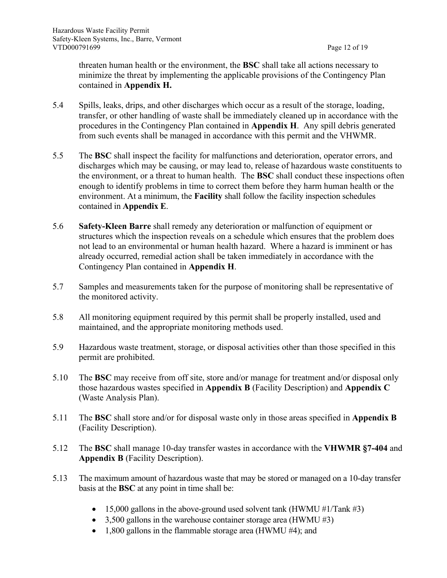threaten human health or the environment, the **BSC** shall take all actions necessary to minimize the threat by implementing the applicable provisions of the Contingency Plan contained in **Appendix H.**

- 5.4 Spills, leaks, drips, and other discharges which occur as a result of the storage, loading, transfer, or other handling of waste shall be immediately cleaned up in accordance with the procedures in the Contingency Plan contained in **Appendix H**. Any spill debris generated from such events shall be managed in accordance with this permit and the VHWMR.
- 5.5 The **BSC** shall inspect the facility for malfunctions and deterioration, operator errors, and discharges which may be causing, or may lead to, release of hazardous waste constituents to the environment, or a threat to human health. The **BSC** shall conduct these inspections often enough to identify problems in time to correct them before they harm human health or the environment. At a minimum, the **Facility** shall follow the facility inspection schedules contained in **Appendix E**.
- 5.6 **Safety-Kleen Barre** shall remedy any deterioration or malfunction of equipment or structures which the inspection reveals on a schedule which ensures that the problem does not lead to an environmental or human health hazard. Where a hazard is imminent or has already occurred, remedial action shall be taken immediately in accordance with the Contingency Plan contained in **Appendix H**.
- 5.7 Samples and measurements taken for the purpose of monitoring shall be representative of the monitored activity.
- 5.8 All monitoring equipment required by this permit shall be properly installed, used and maintained, and the appropriate monitoring methods used.
- 5.9 Hazardous waste treatment, storage, or disposal activities other than those specified in this permit are prohibited.
- 5.10 The **BSC** may receive from off site, store and/or manage for treatment and/or disposal only those hazardous wastes specified in **Appendix B** (Facility Description) and **Appendix C** (Waste Analysis Plan).
- 5.11 The **BSC** shall store and/or for disposal waste only in those areas specified in **Appendix B** (Facility Description).
- 5.12 The **BSC** shall manage 10-day transfer wastes in accordance with the **VHWMR §7-404** and **Appendix B** (Facility Description).
- 5.13 The maximum amount of hazardous waste that may be stored or managed on a 10-day transfer basis at the **BSC** at any point in time shall be:
	- 15,000 gallons in the above-ground used solvent tank (HWMU  $\#1/Tank \#3$ )
	- 3,500 gallons in the warehouse container storage area (HWMU  $#3$ )
	- 1,800 gallons in the flammable storage area (HWMU #4); and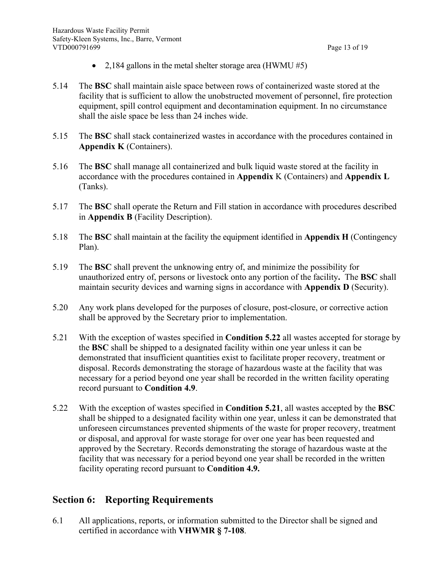- 2,184 gallons in the metal shelter storage area (HWMU  $#5$ )
- 5.14 The **BSC** shall maintain aisle space between rows of containerized waste stored at the facility that is sufficient to allow the unobstructed movement of personnel, fire protection equipment, spill control equipment and decontamination equipment. In no circumstance shall the aisle space be less than 24 inches wide.
- 5.15 The **BSC** shall stack containerized wastes in accordance with the procedures contained in **Appendix K** (Containers).
- 5.16 The **BSC** shall manage all containerized and bulk liquid waste stored at the facility in accordance with the procedures contained in **Appendix** K (Containers) and **Appendix L** (Tanks).
- 5.17 The **BSC** shall operate the Return and Fill station in accordance with procedures described in **Appendix B** (Facility Description).
- 5.18 The **BSC** shall maintain at the facility the equipment identified in **Appendix H** (Contingency Plan).
- 5.19 The **BSC** shall prevent the unknowing entry of, and minimize the possibility for unauthorized entry of, persons or livestock onto any portion of the facility**.** The **BSC** shall maintain security devices and warning signs in accordance with **Appendix D** (Security).
- 5.20 Any work plans developed for the purposes of closure, post-closure, or corrective action shall be approved by the Secretary prior to implementation.
- 5.21 With the exception of wastes specified in **Condition 5.22** all wastes accepted for storage by the **BSC** shall be shipped to a designated facility within one year unless it can be demonstrated that insufficient quantities exist to facilitate proper recovery, treatment or disposal. Records demonstrating the storage of hazardous waste at the facility that was necessary for a period beyond one year shall be recorded in the written facility operating record pursuant to **Condition 4.9**.
- 5.22 With the exception of wastes specified in **Condition 5.21**, all wastes accepted by the **BSC** shall be shipped to a designated facility within one year, unless it can be demonstrated that unforeseen circumstances prevented shipments of the waste for proper recovery, treatment or disposal, and approval for waste storage for over one year has been requested and approved by the Secretary. Records demonstrating the storage of hazardous waste at the facility that was necessary for a period beyond one year shall be recorded in the written facility operating record pursuant to **Condition 4.9.**

# **Section 6: Reporting Requirements**

6.1 All applications, reports, or information submitted to the Director shall be signed and certified in accordance with **VHWMR § 7-108**.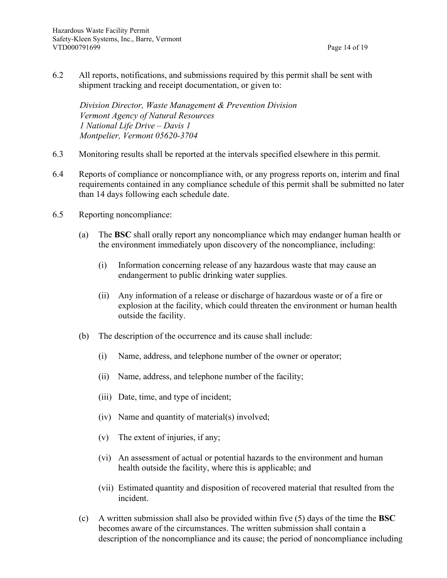- 
- 6.2 All reports, notifications, and submissions required by this permit shall be sent with shipment tracking and receipt documentation, or given to:

*Division Director, Waste Management & Prevention Division Vermont Agency of Natural Resources 1 National Life Drive – Davis 1 Montpelier, Vermont 05620-3704*

- 6.3 Monitoring results shall be reported at the intervals specified elsewhere in this permit.
- 6.4 Reports of compliance or noncompliance with, or any progress reports on, interim and final requirements contained in any compliance schedule of this permit shall be submitted no later than 14 days following each schedule date.
- 6.5 Reporting noncompliance:
	- (a) The **BSC** shall orally report any noncompliance which may endanger human health or the environment immediately upon discovery of the noncompliance, including:
		- (i) Information concerning release of any hazardous waste that may cause an endangerment to public drinking water supplies.
		- (ii) Any information of a release or discharge of hazardous waste or of a fire or explosion at the facility, which could threaten the environment or human health outside the facility.
	- (b) The description of the occurrence and its cause shall include:
		- (i) Name, address, and telephone number of the owner or operator;
		- (ii) Name, address, and telephone number of the facility;
		- (iii) Date, time, and type of incident;
		- (iv) Name and quantity of material(s) involved;
		- (v) The extent of injuries, if any;
		- (vi) An assessment of actual or potential hazards to the environment and human health outside the facility, where this is applicable; and
		- (vii) Estimated quantity and disposition of recovered material that resulted from the incident.
	- (c) A written submission shall also be provided within five (5) days of the time the **BSC** becomes aware of the circumstances. The written submission shall contain a description of the noncompliance and its cause; the period of noncompliance including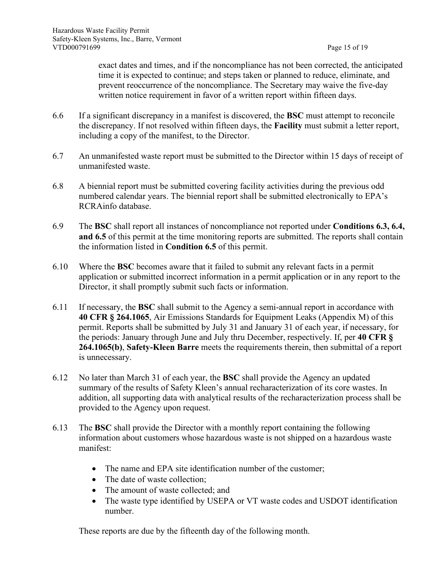exact dates and times, and if the noncompliance has not been corrected, the anticipated time it is expected to continue; and steps taken or planned to reduce, eliminate, and prevent reoccurrence of the noncompliance. The Secretary may waive the five-day written notice requirement in favor of a written report within fifteen days.

- 6.6 If a significant discrepancy in a manifest is discovered, the **BSC** must attempt to reconcile the discrepancy. If not resolved within fifteen days, the **Facility** must submit a letter report, including a copy of the manifest, to the Director.
- 6.7 An unmanifested waste report must be submitted to the Director within 15 days of receipt of unmanifested waste.
- 6.8 A biennial report must be submitted covering facility activities during the previous odd numbered calendar years. The biennial report shall be submitted electronically to EPA's RCRAinfo database.
- 6.9 The **BSC** shall report all instances of noncompliance not reported under **Conditions 6.3, 6.4, and 6.5** of this permit at the time monitoring reports are submitted. The reports shall contain the information listed in **Condition 6.5** of this permit.
- 6.10 Where the **BSC** becomes aware that it failed to submit any relevant facts in a permit application or submitted incorrect information in a permit application or in any report to the Director, it shall promptly submit such facts or information.
- 6.11 If necessary, the **BSC** shall submit to the Agency a semi-annual report in accordance with **40 CFR § 264.1065**, Air Emissions Standards for Equipment Leaks (Appendix M) of this permit. Reports shall be submitted by July 31 and January 31 of each year, if necessary, for the periods: January through June and July thru December, respectively. If, per **40 CFR § 264.1065(b)**, **Safety-Kleen Barre** meets the requirements therein, then submittal of a report is unnecessary.
- 6.12 No later than March 31 of each year, the **BSC** shall provide the Agency an updated summary of the results of Safety Kleen's annual recharacterization of its core wastes. In addition, all supporting data with analytical results of the recharacterization process shall be provided to the Agency upon request.
- 6.13 The **BSC** shall provide the Director with a monthly report containing the following information about customers whose hazardous waste is not shipped on a hazardous waste manifest:
	- The name and EPA site identification number of the customer;
	- The date of waste collection:
	- The amount of waste collected; and
	- The waste type identified by USEPA or VT waste codes and USDOT identification number.

These reports are due by the fifteenth day of the following month.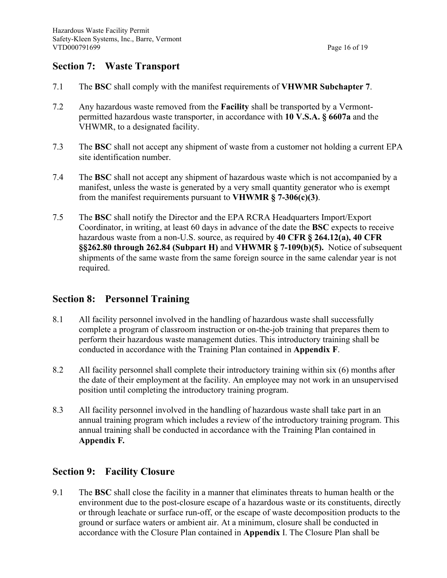## **Section 7: Waste Transport**

- 7.1 The **BSC** shall comply with the manifest requirements of **VHWMR Subchapter 7**.
- 7.2 Any hazardous waste removed from the **Facility** shall be transported by a Vermontpermitted hazardous waste transporter, in accordance with **10 V.S.A. § 6607a** and the VHWMR, to a designated facility.
- 7.3 The **BSC** shall not accept any shipment of waste from a customer not holding a current EPA site identification number.
- 7.4 The **BSC** shall not accept any shipment of hazardous waste which is not accompanied by a manifest, unless the waste is generated by a very small quantity generator who is exempt from the manifest requirements pursuant to **VHWMR § 7-306(c)(3)**.
- 7.5 The **BSC** shall notify the Director and the EPA RCRA Headquarters Import/Export Coordinator, in writing, at least 60 days in advance of the date the **BSC** expects to receive hazardous waste from a non-U.S. source, as required by **40 CFR § 264.12(a), 40 CFR §§262.80 through 262.84 (Subpart H)** and **VHWMR § 7-109(b)(5).** Notice of subsequent shipments of the same waste from the same foreign source in the same calendar year is not required.

#### **Section 8: Personnel Training**

- 8.1 All facility personnel involved in the handling of hazardous waste shall successfully complete a program of classroom instruction or on-the-job training that prepares them to perform their hazardous waste management duties. This introductory training shall be conducted in accordance with the Training Plan contained in **Appendix F**.
- 8.2 All facility personnel shall complete their introductory training within six (6) months after the date of their employment at the facility. An employee may not work in an unsupervised position until completing the introductory training program.
- 8.3 All facility personnel involved in the handling of hazardous waste shall take part in an annual training program which includes a review of the introductory training program. This annual training shall be conducted in accordance with the Training Plan contained in **Appendix F***.*

# **Section 9: Facility Closure**

9.1 The **BSC** shall close the facility in a manner that eliminates threats to human health or the environment due to the post-closure escape of a hazardous waste or its constituents, directly or through leachate or surface run-off, or the escape of waste decomposition products to the ground or surface waters or ambient air. At a minimum, closure shall be conducted in accordance with the Closure Plan contained in **Appendix** I. The Closure Plan shall be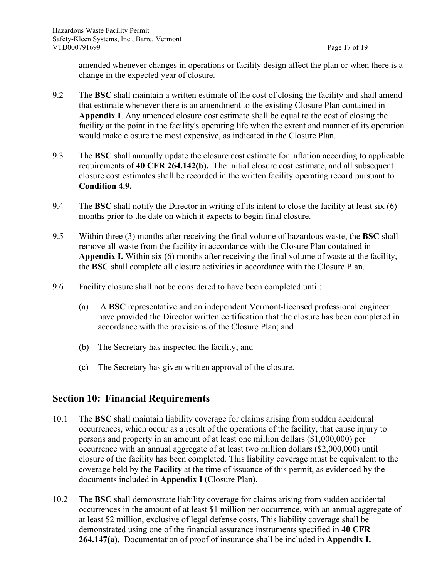amended whenever changes in operations or facility design affect the plan or when there is a change in the expected year of closure.

- 9.2 The **BSC** shall maintain a written estimate of the cost of closing the facility and shall amend that estimate whenever there is an amendment to the existing Closure Plan contained in **Appendix I**. Any amended closure cost estimate shall be equal to the cost of closing the facility at the point in the facility's operating life when the extent and manner of its operation would make closure the most expensive, as indicated in the Closure Plan.
- 9.3 The **BSC** shall annually update the closure cost estimate for inflation according to applicable requirements of **40 CFR 264.142(b).** The initial closure cost estimate, and all subsequent closure cost estimates shall be recorded in the written facility operating record pursuant to **Condition 4.9.**
- 9.4 The **BSC** shall notify the Director in writing of its intent to close the facility at least six (6) months prior to the date on which it expects to begin final closure.
- 9.5 Within three (3) months after receiving the final volume of hazardous waste, the **BSC** shall remove all waste from the facility in accordance with the Closure Plan contained in **Appendix I.** Within six (6) months after receiving the final volume of waste at the facility, the **BSC** shall complete all closure activities in accordance with the Closure Plan.
- 9.6 Facility closure shall not be considered to have been completed until:
	- (a) A **BSC** representative and an independent Vermont-licensed professional engineer have provided the Director written certification that the closure has been completed in accordance with the provisions of the Closure Plan; and
	- (b) The Secretary has inspected the facility; and
	- (c) The Secretary has given written approval of the closure.

## **Section 10: Financial Requirements**

- 10.1 The **BSC** shall maintain liability coverage for claims arising from sudden accidental occurrences, which occur as a result of the operations of the facility, that cause injury to persons and property in an amount of at least one million dollars (\$1,000,000) per occurrence with an annual aggregate of at least two million dollars (\$2,000,000) until closure of the facility has been completed. This liability coverage must be equivalent to the coverage held by the **Facility** at the time of issuance of this permit, as evidenced by the documents included in **Appendix I** (Closure Plan).
- 10.2 The **BSC** shall demonstrate liability coverage for claims arising from sudden accidental occurrences in the amount of at least \$1 million per occurrence, with an annual aggregate of at least \$2 million, exclusive of legal defense costs. This liability coverage shall be demonstrated using one of the financial assurance instruments specified in **40 CFR 264.147(a)**. Documentation of proof of insurance shall be included in **Appendix I.**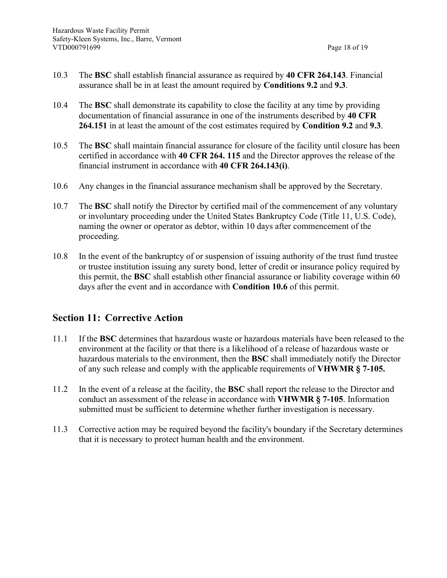- 10.3 The **BSC** shall establish financial assurance as required by **40 CFR 264.143**. Financial assurance shall be in at least the amount required by **Conditions 9.2** and **9.3**.
- 10.4 The **BSC** shall demonstrate its capability to close the facility at any time by providing documentation of financial assurance in one of the instruments described by **40 CFR 264.151** in at least the amount of the cost estimates required by **Condition 9.2** and **9.3**.
- 10.5 The **BSC** shall maintain financial assurance for closure of the facility until closure has been certified in accordance with **40 CFR 264. 115** and the Director approves the release of the financial instrument in accordance with **40 CFR 264.143(i)**.
- 10.6 Any changes in the financial assurance mechanism shall be approved by the Secretary.
- 10.7 The **BSC** shall notify the Director by certified mail of the commencement of any voluntary or involuntary proceeding under the United States Bankruptcy Code (Title 11, U.S. Code), naming the owner or operator as debtor, within 10 days after commencement of the proceeding.
- 10.8 In the event of the bankruptcy of or suspension of issuing authority of the trust fund trustee or trustee institution issuing any surety bond, letter of credit or insurance policy required by this permit, the **BSC** shall establish other financial assurance or liability coverage within 60 days after the event and in accordance with **Condition 10.6** of this permit.

## **Section 11: Corrective Action**

- 11.1 If the **BSC** determines that hazardous waste or hazardous materials have been released to the environment at the facility or that there is a likelihood of a release of hazardous waste or hazardous materials to the environment, then the **BSC** shall immediately notify the Director of any such release and comply with the applicable requirements of **VHWMR § 7-105.**
- 11.2 In the event of a release at the facility, the **BSC** shall report the release to the Director and conduct an assessment of the release in accordance with **VHWMR § 7-105**. Information submitted must be sufficient to determine whether further investigation is necessary.
- 11.3 Corrective action may be required beyond the facility's boundary if the Secretary determines that it is necessary to protect human health and the environment.